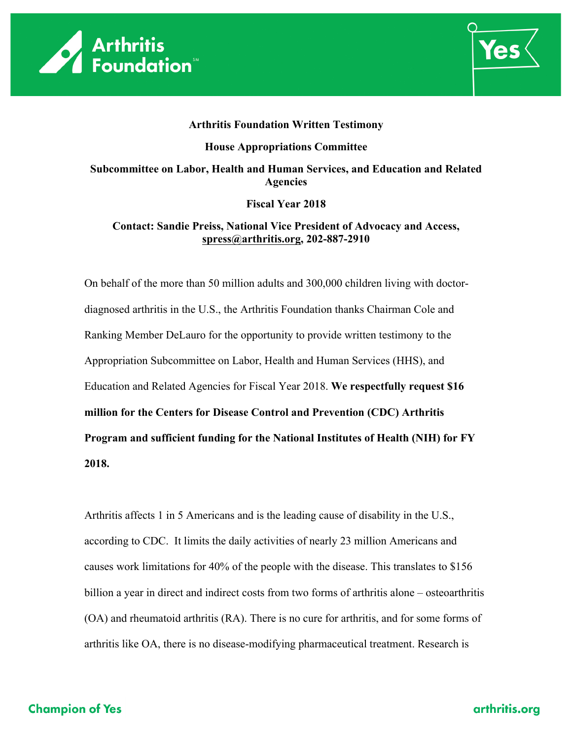



# **Arthritis Foundation Written Testimony House Appropriations Committee Subcommittee on Labor, Health and Human Services, and Education and Related Agencies**

#### **Fiscal Year 2018**

#### **Contact: Sandie Preiss, National Vice President of Advocacy and Access, spress@arthritis.org, 202-887-2910**

On behalf of the more than 50 million adults and 300,000 children living with doctordiagnosed arthritis in the U.S., the Arthritis Foundation thanks Chairman Cole and Ranking Member DeLauro for the opportunity to provide written testimony to the Appropriation Subcommittee on Labor, Health and Human Services (HHS), and Education and Related Agencies for Fiscal Year 2018. **We respectfully request \$16 million for the Centers for Disease Control and Prevention (CDC) Arthritis Program and sufficient funding for the National Institutes of Health (NIH) for FY 2018.** 

Arthritis affects 1 in 5 Americans and is the leading cause of disability in the U.S., according to CDC. It limits the daily activities of nearly 23 million Americans and causes work limitations for 40% of the people with the disease. This translates to \$156 billion a year in direct and indirect costs from two forms of arthritis alone – osteoarthritis (OA) and rheumatoid arthritis (RA). There is no cure for arthritis, and for some forms of arthritis like OA, there is no disease-modifying pharmaceutical treatment. Research is

# **Champion of Yes**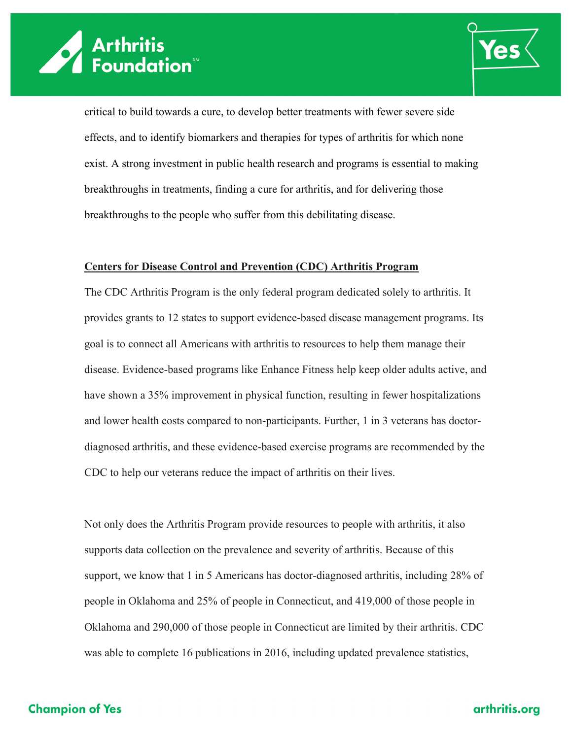



critical to build towards a cure, to develop better treatments with fewer severe side effects, and to identify biomarkers and therapies for types of arthritis for which none exist. A strong investment in public health research and programs is essential to making breakthroughs in treatments, finding a cure for arthritis, and for delivering those breakthroughs to the people who suffer from this debilitating disease.

#### **Centers for Disease Control and Prevention (CDC) Arthritis Program**

The CDC Arthritis Program is the only federal program dedicated solely to arthritis. It provides grants to 12 states to support evidence-based disease management programs. Its goal is to connect all Americans with arthritis to resources to help them manage their disease. Evidence-based programs like Enhance Fitness help keep older adults active, and have shown a 35% improvement in physical function, resulting in fewer hospitalizations and lower health costs compared to non-participants. Further, 1 in 3 veterans has doctordiagnosed arthritis, and these evidence-based exercise programs are recommended by the CDC to help our veterans reduce the impact of arthritis on their lives.

Not only does the Arthritis Program provide resources to people with arthritis, it also supports data collection on the prevalence and severity of arthritis. Because of this support, we know that 1 in 5 Americans has doctor-diagnosed arthritis, including 28% of people in Oklahoma and 25% of people in Connecticut, and 419,000 of those people in Oklahoma and 290,000 of those people in Connecticut are limited by their arthritis. CDC was able to complete 16 publications in 2016, including updated prevalence statistics,

## **Champion of Yes**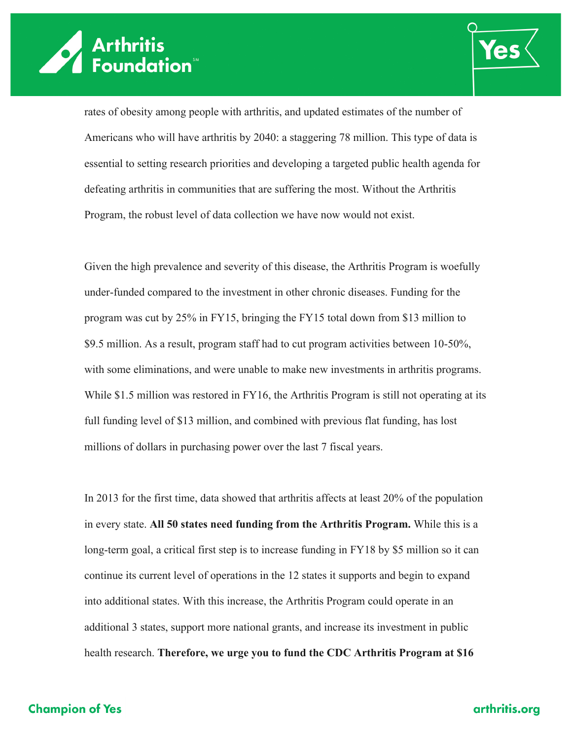



rates of obesity among people with arthritis, and updated estimates of the number of Americans who will have arthritis by 2040: a staggering 78 million. This type of data is essential to setting research priorities and developing a targeted public health agenda for defeating arthritis in communities that are suffering the most. Without the Arthritis Program, the robust level of data collection we have now would not exist.

Given the high prevalence and severity of this disease, the Arthritis Program is woefully under-funded compared to the investment in other chronic diseases. Funding for the program was cut by 25% in FY15, bringing the FY15 total down from \$13 million to \$9.5 million. As a result, program staff had to cut program activities between 10-50%, with some eliminations, and were unable to make new investments in arthritis programs. While \$1.5 million was restored in FY16, the Arthritis Program is still not operating at its full funding level of \$13 million, and combined with previous flat funding, has lost millions of dollars in purchasing power over the last 7 fiscal years.

In 2013 for the first time, data showed that arthritis affects at least 20% of the population in every state. **All 50 states need funding from the Arthritis Program.** While this is a long-term goal, a critical first step is to increase funding in FY18 by \$5 million so it can continue its current level of operations in the 12 states it supports and begin to expand into additional states. With this increase, the Arthritis Program could operate in an additional 3 states, support more national grants, and increase its investment in public health research. **Therefore, we urge you to fund the CDC Arthritis Program at \$16** 

## **Champion of Yes**

## arthritis.org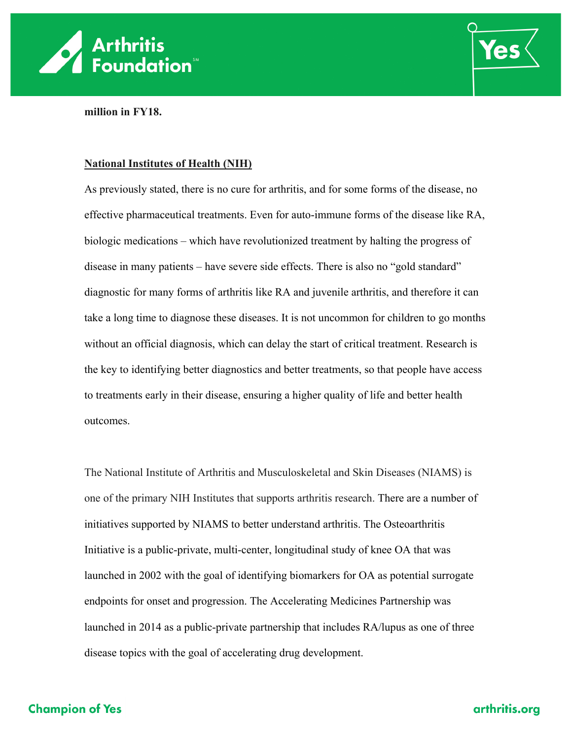



**million in FY18.**

#### **National Institutes of Health (NIH)**

As previously stated, there is no cure for arthritis, and for some forms of the disease, no effective pharmaceutical treatments. Even for auto-immune forms of the disease like RA, biologic medications – which have revolutionized treatment by halting the progress of disease in many patients – have severe side effects. There is also no "gold standard" diagnostic for many forms of arthritis like RA and juvenile arthritis, and therefore it can take a long time to diagnose these diseases. It is not uncommon for children to go months without an official diagnosis, which can delay the start of critical treatment. Research is the key to identifying better diagnostics and better treatments, so that people have access to treatments early in their disease, ensuring a higher quality of life and better health outcomes.

The National Institute of Arthritis and Musculoskeletal and Skin Diseases (NIAMS) is one of the primary NIH Institutes that supports arthritis research. There are a number of initiatives supported by NIAMS to better understand arthritis. The Osteoarthritis Initiative is a public-private, multi-center, longitudinal study of knee OA that was launched in 2002 with the goal of identifying biomarkers for OA as potential surrogate endpoints for onset and progression. The Accelerating Medicines Partnership was launched in 2014 as a public-private partnership that includes RA/lupus as one of three disease topics with the goal of accelerating drug development.

# **Champion of Yes**

## arthritis.org